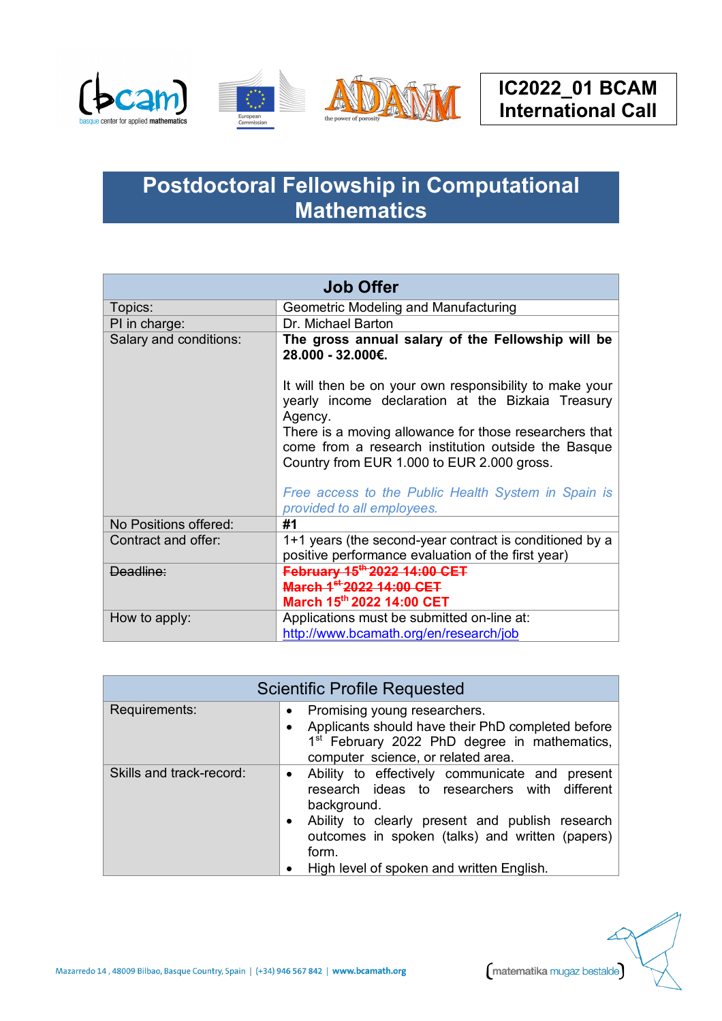





## **Postdoctoral Fellowship in Computational Mathematics**

| <b>Job Offer</b>       |                                                                                                                                                                                                                                                                                                                                               |
|------------------------|-----------------------------------------------------------------------------------------------------------------------------------------------------------------------------------------------------------------------------------------------------------------------------------------------------------------------------------------------|
| Topics:                | Geometric Modeling and Manufacturing                                                                                                                                                                                                                                                                                                          |
| PI in charge:          | Dr. Michael Barton                                                                                                                                                                                                                                                                                                                            |
| Salary and conditions: | The gross annual salary of the Fellowship will be<br>28.000 - 32.000€.                                                                                                                                                                                                                                                                        |
|                        | It will then be on your own responsibility to make your<br>yearly income declaration at the Bizkaia Treasury<br>Agency.<br>There is a moving allowance for those researchers that<br>come from a research institution outside the Basque<br>Country from EUR 1.000 to EUR 2.000 gross.<br>Free access to the Public Health System in Spain is |
| No Positions offered:  | provided to all employees.<br>#1                                                                                                                                                                                                                                                                                                              |
| Contract and offer:    | 1+1 years (the second-year contract is conditioned by a<br>positive performance evaluation of the first year)                                                                                                                                                                                                                                 |
| Deadline:              | February 15 <sup>th-</sup> 2022 14:00 CET                                                                                                                                                                                                                                                                                                     |
|                        | March 1 <sup>st</sup> 2022 14:00 CET                                                                                                                                                                                                                                                                                                          |
|                        | March 15th 2022 14:00 CET                                                                                                                                                                                                                                                                                                                     |
| How to apply:          | Applications must be submitted on-line at:                                                                                                                                                                                                                                                                                                    |
|                        | http://www.bcamath.org/en/research/job                                                                                                                                                                                                                                                                                                        |

| <b>Scientific Profile Requested</b> |                                                                                                                                                                                                                                                                                        |
|-------------------------------------|----------------------------------------------------------------------------------------------------------------------------------------------------------------------------------------------------------------------------------------------------------------------------------------|
| Requirements:                       | Promising young researchers.<br>Applicants should have their PhD completed before<br>1 <sup>st</sup> February 2022 PhD degree in mathematics,<br>computer science, or related area.                                                                                                    |
| Skills and track-record:            | Ability to effectively communicate and present<br>$\bullet$<br>research ideas to researchers with different<br>background.<br>Ability to clearly present and publish research<br>outcomes in spoken (talks) and written (papers)<br>form.<br>High level of spoken and written English. |

Mazarredo 14, 48009 Bilbao, Basque Country, Spain | (+34) 946 567 842 | www.bcamath.org

matematika mugaz bestalde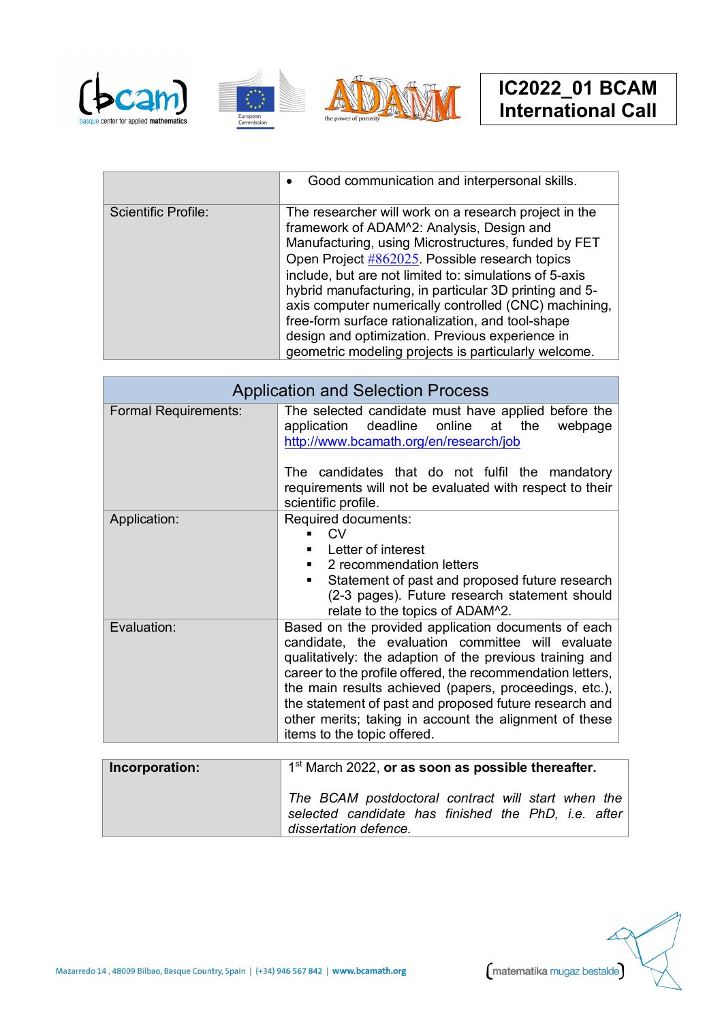





|                     | Good communication and interpersonal skills.<br>$\bullet$                                                                                                                                                                                                                                                                                                                                                                                                                                                                                                |
|---------------------|----------------------------------------------------------------------------------------------------------------------------------------------------------------------------------------------------------------------------------------------------------------------------------------------------------------------------------------------------------------------------------------------------------------------------------------------------------------------------------------------------------------------------------------------------------|
| Scientific Profile: | The researcher will work on a research project in the<br>framework of ADAM^2: Analysis, Design and<br>Manufacturing, using Microstructures, funded by FET<br>Open Project #862025. Possible research topics<br>include, but are not limited to: simulations of 5-axis<br>hybrid manufacturing, in particular 3D printing and 5-<br>axis computer numerically controlled (CNC) machining,<br>free-form surface rationalization, and tool-shape<br>design and optimization. Previous experience in<br>geometric modeling projects is particularly welcome. |

| <b>Application and Selection Process</b> |                                                                                                                                                                                                                                                                                                                                                                                                                                                 |
|------------------------------------------|-------------------------------------------------------------------------------------------------------------------------------------------------------------------------------------------------------------------------------------------------------------------------------------------------------------------------------------------------------------------------------------------------------------------------------------------------|
| <b>Formal Requirements:</b>              | The selected candidate must have applied before the<br>deadline<br>online<br>at<br>the<br>webpage<br>application<br>http://www.bcamath.org/en/research/job<br>The candidates that do not fulfil the mandatory<br>requirements will not be evaluated with respect to their                                                                                                                                                                       |
|                                          | scientific profile.                                                                                                                                                                                                                                                                                                                                                                                                                             |
| Application:                             | Required documents:<br><b>CV</b><br>Letter of interest<br>2 recommendation letters<br>Statement of past and proposed future research<br>(2-3 pages). Future research statement should<br>relate to the topics of ADAM^2.                                                                                                                                                                                                                        |
| Evaluation:                              | Based on the provided application documents of each<br>candidate, the evaluation committee will evaluate<br>qualitatively: the adaption of the previous training and<br>career to the profile offered, the recommendation letters,<br>the main results achieved (papers, proceedings, etc.),<br>the statement of past and proposed future research and<br>other merits; taking in account the alignment of these<br>items to the topic offered. |
| Incorporation:                           | 1 <sup>st</sup> March 2022, <b>or as soon as possible thereafter.</b>                                                                                                                                                                                                                                                                                                                                                                           |

| Incorporation: | 1 <sup>st</sup> March 2022, or as soon as possible thereafter.                                                                     |
|----------------|------------------------------------------------------------------------------------------------------------------------------------|
|                | The BCAM postdoctoral contract will start when the<br>selected candidate has finished the PhD, i.e. after<br>dissertation defence. |

Mazarredo 14, 48009 Bilbao, Basque Country, Spain | (+34) 946 567 842 | www.bcamath.org

matematika mugaz bestalde